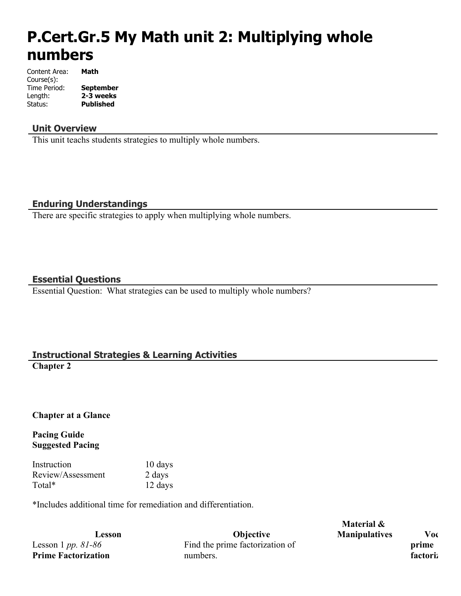# **P.Cert.Gr.5 My Math unit 2: Multiplying whole numbers**

| Content Area: | Math             |
|---------------|------------------|
| Course(s):    |                  |
| Time Period:  | <b>September</b> |
| Length:       | 2-3 weeks        |
| Status:       | Published        |

## **Unit Overview**

This unit teachs students strategies to multiply whole numbers.

## **Enduring Understandings**

There are specific strategies to apply when multiplying whole numbers.

## **Essential Questions**

Essential Question: What strategies can be used to multiply whole numbers?

## **Instructional Strategies & Learning Activities**

**Chapter 2**

## **Chapter at a Glance**

**Pacing Guide Suggested Pacing**

Instruction 10 days Review/Assessment 2 days Total\* 12 days

\*Includes additional time for remediation and differentiation.

Lesson 1 *pp. 81-86* **Prime Factorization**

**Lesson Objective** Find the prime factorization of numbers.

**Material & Manipulatives Vocabulary** 

**prime factoriz**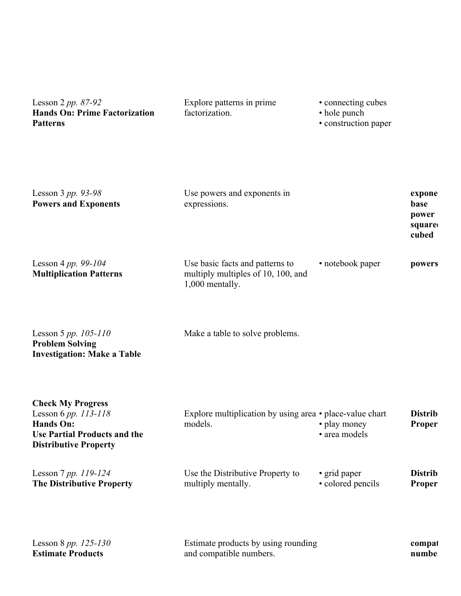Lesson 2 *pp. 87-92* **Hands On: Prime Factorization Patterns** Explore patterns in prime factorization. • connecting cubes • hole punch • construction paper

| Lesson 3 pp. 93-98<br><b>Powers and Exponents</b>                                                                                    | Use powers and exponents in<br>expressions.                                              |                                   | expone<br>base<br>power<br>square<br>cubed |
|--------------------------------------------------------------------------------------------------------------------------------------|------------------------------------------------------------------------------------------|-----------------------------------|--------------------------------------------|
| Lesson 4 pp. 99-104<br><b>Multiplication Patterns</b>                                                                                | Use basic facts and patterns to<br>multiply multiples of 10, 100, and<br>1,000 mentally. | • notebook paper                  | powers                                     |
| Lesson 5 pp. $105-110$<br><b>Problem Solving</b><br><b>Investigation: Make a Table</b>                                               | Make a table to solve problems.                                                          |                                   |                                            |
| <b>Check My Progress</b><br>Lesson 6 pp. 113-118<br>Hands On:<br><b>Use Partial Products and the</b><br><b>Distributive Property</b> | Explore multiplication by using area • place-value chart<br>models.                      | • play money<br>· area models     | <b>Distrib</b><br>Proper                   |
| Lesson 7 pp. 119-124<br><b>The Distributive Property</b>                                                                             | Use the Distributive Property to<br>multiply mentally.                                   | • grid paper<br>• colored pencils | <b>Distrib</b><br>Proper                   |
| Lesson 8 pp. 125-130<br><b>Estimate Products</b>                                                                                     | Estimate products by using rounding<br>and compatible numbers.                           |                                   | compat<br>numbe                            |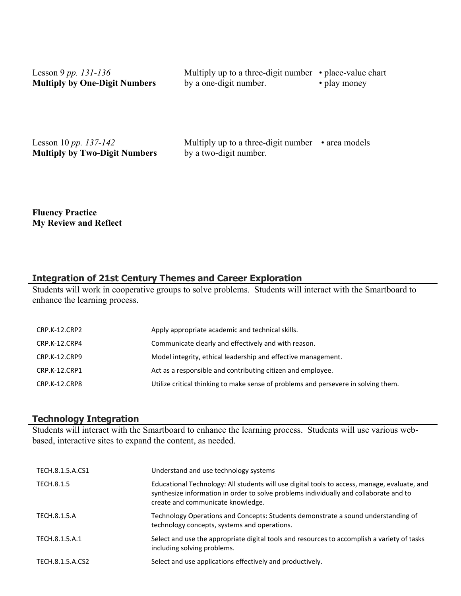| Lesson 9 pp. $131 - 136$             | Multiply up to a three-digit number $\cdot$ place-value chart |              |
|--------------------------------------|---------------------------------------------------------------|--------------|
| <b>Multiply by One-Digit Numbers</b> | by a one-digit number.                                        | • play money |
|                                      |                                                               |              |

Lesson 10 *pp. 137-142* **Multiply by Two-Digit Numbers**

Multiply up to a three-digit number  $\cdot$  area models by a two-digit number.

**Fluency Practice My Review and Reflect**

## **Integration of 21st Century Themes and Career Exploration**

Students will work in cooperative groups to solve problems. Students will interact with the Smartboard to enhance the learning process.

| CRP.K-12.CRP2 | Apply appropriate academic and technical skills.                                   |
|---------------|------------------------------------------------------------------------------------|
| CRP.K-12.CRP4 | Communicate clearly and effectively and with reason.                               |
| CRP.K-12.CRP9 | Model integrity, ethical leadership and effective management.                      |
| CRP.K-12.CRP1 | Act as a responsible and contributing citizen and employee.                        |
| CRP.K-12.CRP8 | Utilize critical thinking to make sense of problems and persevere in solving them. |
|               |                                                                                    |

## **Technology Integration**

Students will interact with the Smartboard to enhance the learning process. Students will use various webbased, interactive sites to expand the content, as needed.

| TECH.8.1.5.A.CS1 | Understand and use technology systems                                                                                                                                                                                      |
|------------------|----------------------------------------------------------------------------------------------------------------------------------------------------------------------------------------------------------------------------|
| TECH.8.1.5       | Educational Technology: All students will use digital tools to access, manage, evaluate, and<br>synthesize information in order to solve problems individually and collaborate and to<br>create and communicate knowledge. |
| TECH.8.1.5.A     | Technology Operations and Concepts: Students demonstrate a sound understanding of<br>technology concepts, systems and operations.                                                                                          |
| TECH.8.1.5.A.1   | Select and use the appropriate digital tools and resources to accomplish a variety of tasks<br>including solving problems.                                                                                                 |
| TECH.8.1.5.A.CS2 | Select and use applications effectively and productively.                                                                                                                                                                  |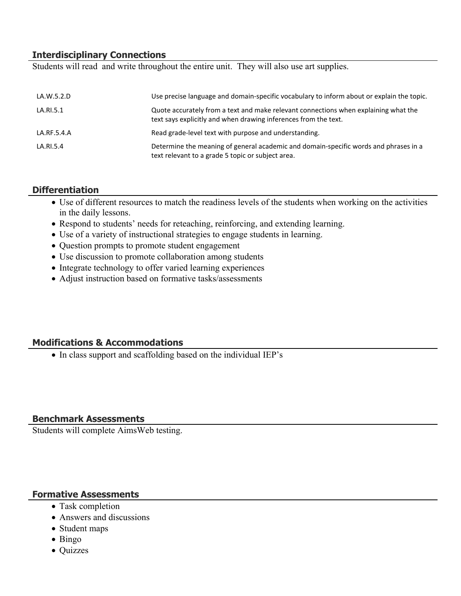## **Interdisciplinary Connections**

Students will read and write throughout the entire unit. They will also use art supplies.

| LA.W.5.2.D  | Use precise language and domain-specific vocabulary to inform about or explain the topic.                                                              |
|-------------|--------------------------------------------------------------------------------------------------------------------------------------------------------|
| LA.RI.5.1   | Quote accurately from a text and make relevant connections when explaining what the<br>text says explicitly and when drawing inferences from the text. |
| LA.RF.5.4.A | Read grade-level text with purpose and understanding.                                                                                                  |
| LA.RI.5.4   | Determine the meaning of general academic and domain-specific words and phrases in a<br>text relevant to a grade 5 topic or subject area.              |

#### **Differentiation**

- Use of different resources to match the readiness levels of the students when working on the activities in the daily lessons.
- Respond to students' needs for reteaching, reinforcing, and extending learning.
- Use of a variety of instructional strategies to engage students in learning.
- Question prompts to promote student engagement
- Use discussion to promote collaboration among students
- Integrate technology to offer varied learning experiences
- Adjust instruction based on formative tasks/assessments

## **Modifications & Accommodations**

• In class support and scaffolding based on the individual IEP's

## **Benchmark Assessments**

Students will complete AimsWeb testing.

## **Formative Assessments**

- Task completion
- Answers and discussions
- Student maps
- $\bullet$  Bingo
- Quizzes